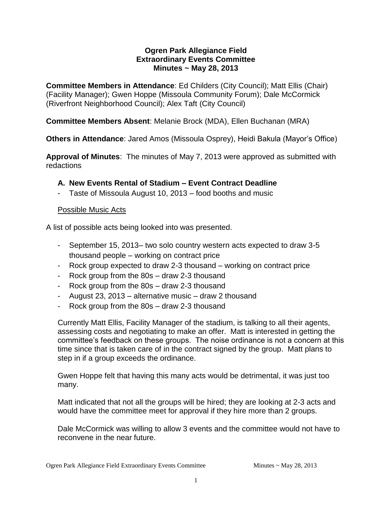### **Ogren Park Allegiance Field Extraordinary Events Committee Minutes ~ May 28, 2013**

**Committee Members in Attendance**: Ed Childers (City Council); Matt Ellis (Chair) (Facility Manager); Gwen Hoppe (Missoula Community Forum); Dale McCormick (Riverfront Neighborhood Council); Alex Taft (City Council)

# **Committee Members Absent**: Melanie Brock (MDA), Ellen Buchanan (MRA)

**Others in Attendance**: Jared Amos (Missoula Osprey), Heidi Bakula (Mayor's Office)

**Approval of Minutes**: The minutes of May 7, 2013 were approved as submitted with redactions

# **A. New Events Rental of Stadium – Event Contract Deadline**

- Taste of Missoula August 10, 2013 – food booths and music

### Possible Music Acts

A list of possible acts being looked into was presented.

- September 15, 2013– two solo country western acts expected to draw 3-5 thousand people – working on contract price
- Rock group expected to draw 2-3 thousand working on contract price
- Rock group from the 80s draw 2-3 thousand
- Rock group from the 80s draw 2-3 thousand
- August 23, 2013 alternative music draw 2 thousand
- Rock group from the 80s draw 2-3 thousand

Currently Matt Ellis, Facility Manager of the stadium, is talking to all their agents, assessing costs and negotiating to make an offer. Matt is interested in getting the committee's feedback on these groups. The noise ordinance is not a concern at this time since that is taken care of in the contract signed by the group. Matt plans to step in if a group exceeds the ordinance.

Gwen Hoppe felt that having this many acts would be detrimental, it was just too many.

Matt indicated that not all the groups will be hired; they are looking at 2-3 acts and would have the committee meet for approval if they hire more than 2 groups.

Dale McCormick was willing to allow 3 events and the committee would not have to reconvene in the near future.